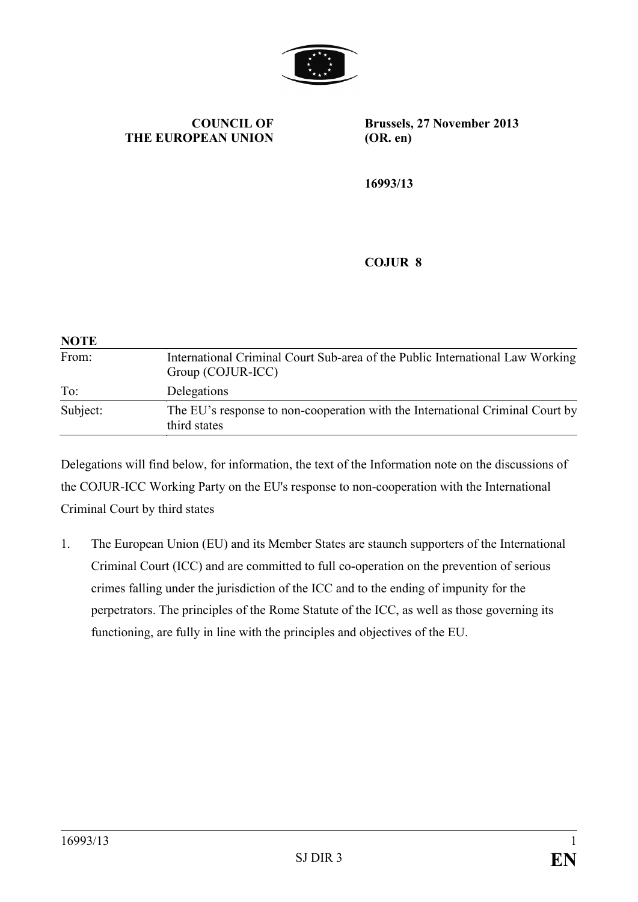

**COUNCIL OF THE EUROPEAN UNION**

**Brussels, 27 November 2013 (OR. en)**

**16993/13**

## **COJUR 8**

| <b>NOTE</b> |                                                                                                    |
|-------------|----------------------------------------------------------------------------------------------------|
| From:       | International Criminal Court Sub-area of the Public International Law Working<br>Group (COJUR-ICC) |
| To:         | Delegations                                                                                        |
| Subject:    | The EU's response to non-cooperation with the International Criminal Court by<br>third states      |

Delegations will find below, for information, the text of the Information note on the discussions of the COJUR-ICC Working Party on the EU's response to non-cooperation with the International Criminal Court by third states

1. The European Union (EU) and its Member States are staunch supporters of the International Criminal Court (ICC) and are committed to full co-operation on the prevention of serious crimes falling under the jurisdiction of the ICC and to the ending of impunity for the perpetrators. The principles of the Rome Statute of the ICC, as well as those governing its functioning, are fully in line with the principles and objectives of the EU.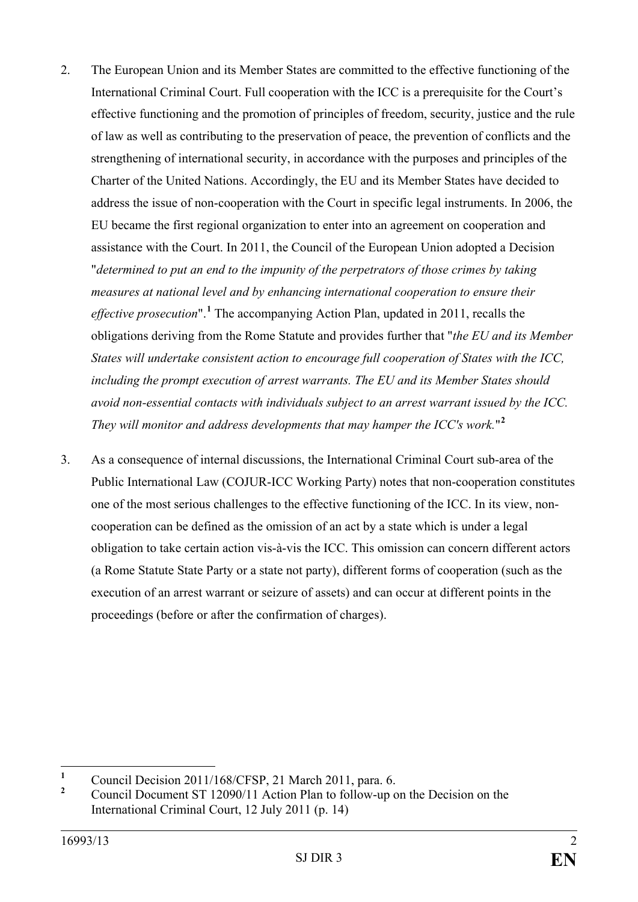- 2. The European Union and its Member States are committed to the effective functioning of the International Criminal Court. Full cooperation with the ICC is a prerequisite for the Court's effective functioning and the promotion of principles of freedom, security, justice and the rule of law as well as contributing to the preservation of peace, the prevention of conflicts and the strengthening of international security, in accordance with the purposes and principles of the Charter of the United Nations. Accordingly, the EU and its Member States have decided to address the issue of non-cooperation with the Court in specific legal instruments. In 2006, the EU became the first regional organization to enter into an agreement on cooperation and assistance with the Court. In 2011, the Council of the European Union adopted a Decision "*determined to put an end to the impunity of the perpetrators of those crimes by taking measures at national level and by enhancing international cooperation to ensure their effective prosecution*".**[1](#page-1-0)** The accompanying Action Plan, updated in 2011, recalls the obligations deriving from the Rome Statute and provides further that "*the EU and its Member States will undertake consistent action to encourage full cooperation of States with the ICC, including the prompt execution of arrest warrants. The EU and its Member States should avoid non-essential contacts with individuals subject to an arrest warrant issued by the ICC. They will monitor and address developments that may hamper the ICC's work.*" **[2](#page-1-1)**
- 3. As a consequence of internal discussions, the International Criminal Court sub-area of the Public International Law (COJUR-ICC Working Party) notes that non-cooperation constitutes one of the most serious challenges to the effective functioning of the ICC. In its view, noncooperation can be defined as the omission of an act by a state which is under a legal obligation to take certain action vis-à-vis the ICC. This omission can concern different actors (a Rome Statute State Party or a state not party), different forms of cooperation (such as the execution of an arrest warrant or seizure of assets) and can occur at different points in the proceedings (before or after the confirmation of charges).

<span id="page-1-0"></span><sup>&</sup>lt;sup>1</sup> Council Decision 2011/168/CFSP, 21 March 2011, para. 6.<br><sup>2</sup> Council Decument ST 12000/11 Action Plan to follow up a

<span id="page-1-1"></span>**<sup>2</sup>** Council Document ST 12090/11 Action Plan to follow-up on the Decision on the International Criminal Court, 12 July 2011 (p. 14)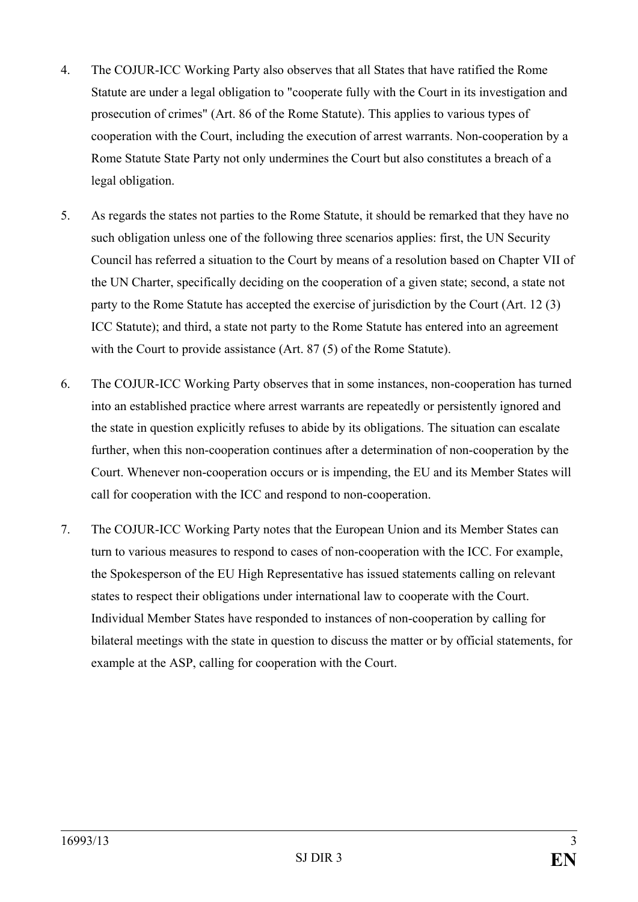- 4. The COJUR-ICC Working Party also observes that all States that have ratified the Rome Statute are under a legal obligation to "cooperate fully with the Court in its investigation and prosecution of crimes" (Art. 86 of the Rome Statute). This applies to various types of cooperation with the Court, including the execution of arrest warrants. Non-cooperation by a Rome Statute State Party not only undermines the Court but also constitutes a breach of a legal obligation.
- 5. As regards the states not parties to the Rome Statute, it should be remarked that they have no such obligation unless one of the following three scenarios applies: first, the UN Security Council has referred a situation to the Court by means of a resolution based on Chapter VII of the UN Charter, specifically deciding on the cooperation of a given state; second, a state not party to the Rome Statute has accepted the exercise of jurisdiction by the Court (Art. 12 (3) ICC Statute); and third, a state not party to the Rome Statute has entered into an agreement with the Court to provide assistance (Art. 87 (5) of the Rome Statute).
- 6. The COJUR-ICC Working Party observes that in some instances, non-cooperation has turned into an established practice where arrest warrants are repeatedly or persistently ignored and the state in question explicitly refuses to abide by its obligations. The situation can escalate further, when this non-cooperation continues after a determination of non-cooperation by the Court. Whenever non-cooperation occurs or is impending, the EU and its Member States will call for cooperation with the ICC and respond to non-cooperation.
- 7. The COJUR-ICC Working Party notes that the European Union and its Member States can turn to various measures to respond to cases of non-cooperation with the ICC. For example, the Spokesperson of the EU High Representative has issued statements calling on relevant states to respect their obligations under international law to cooperate with the Court. Individual Member States have responded to instances of non-cooperation by calling for bilateral meetings with the state in question to discuss the matter or by official statements, for example at the ASP, calling for cooperation with the Court.